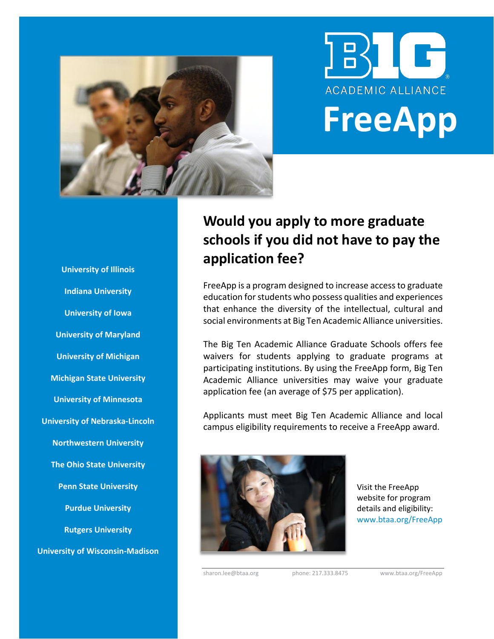



# **Would you apply to more graduate schools if you did not have to pay the application fee?**

FreeApp is a program designed to increase access to graduate education for students who possess qualities and experiences that enhance the diversity of the intellectual, cultural and social environments at Big Ten Academic Alliance universities.

The Big Ten Academic Alliance Graduate Schools offers fee waivers for students applying to graduate programs at participating institutions. By using the FreeApp form, Big Ten Academic Alliance universities may waive your graduate application fee (an average of \$75 per application).

Applicants must meet Big Ten Academic Alliance and local campus eligibility requirements to receive a FreeApp award.



Visit the FreeApp website for program details and eligibility: www.btaa.org/FreeApp

sharon.lee@btaa.org phone: 217.333.8475 www.btaa.org/FreeApp

**University of Illinois Indiana University University of Iowa University of Maryland University of Michigan Michigan State University University of Minnesota University of Nebraska-Lincoln Northwestern University The Ohio State University Penn State University Purdue University Rutgers University University of Wisconsin-Madison**